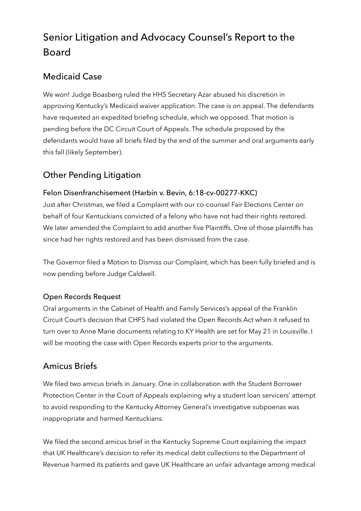# Senior Litigation and Advocacy Counsel's Report to the Board

### Medicaid Case

We won! Judge Boasberg ruled the HHS Secretary Azar abused his discretion in approving Kentucky's Medicaid waiver application. The case is on appeal. The defendants have requested an expedited briefing schedule, which we opposed. That motion is pending before the DC Circuit Court of Appeals. The schedule proposed by the defendants would have all briefs filed by the end of the summer and oral arguments early this fall (likely September).

## Other Pending Litigation

#### Felon Disenfranchisement (Harbin v. Bevin, 6:18-cv-00277-KKC)

Just after Christmas, we filed a Complaint with our co-counsel Fair Elections Center on behalf of four Kentuckians convicted of a felony who have not had their rights restored. We later amended the Complaint to add another five Plaintiffs. One of those plaintiffs has since had her rights restored and has been dismissed from the case.

The Governor filed a Motion to Dismiss our Complaint, which has been fully briefed and is now pending before Judge Caldwell.

#### Open Records Request

Oral arguments in the Cabinet of Health and Family Services's appeal of the Franklin Circuit Court's decision that CHFS had violated the Open Records Act when it refused to turn over to Anne Marie documents relating to KY Health are set for May 21 in Louisville. I will be mooting the case with Open Records experts prior to the arguments.

### Amicus Briefs

We filed two amicus briefs in January. One in collaboration with the Student Borrower Protection Center in the Court of Appeals explaining why a student loan servicers' attempt to avoid responding to the Kentucky Attorney General's investigative subpoenas was inappropriate and harmed Kentuckians.

We filed the second amicus brief in the Kentucky Supreme Court explaining the impact that UK Healthcare's decision to refer its medical debt collections to the Department of Revenue harmed its patients and gave UK Healthcare an unfair advantage among medical